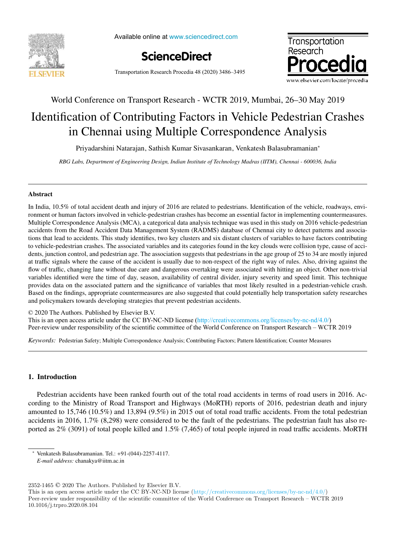

Available online at www.sciencedirect.com





Transportation Research Procedia 48 (2020) 3486–3495

# World Conference on Transport Research - WCTR 2019, Mumbai, 26–30 May 2019 Identification of Contributing Factors in Vehicle Pedestrian Crashes

# in Chennai using Multiple Correspondence Analysis

Priyadarshini Natarajan, Sathish Kumar Sivasankaran, Venkatesh Balasubramanian<sup>∗</sup>

*RBG Labs, Department of Engineering Design, Indian Institute of Technology Madras (IITM), Chennai - 600036, India*

### Abstract

In India, 10.5% of total accident death and injury of 2016 are related to pedestrians. Identification of the vehicle, roadways, environment or human factors involved in vehicle-pedestrian crashes has become an essential factor in implementing countermeasures. Multiple Correspondence Analysis (MCA), a categorical data analysis technique was used in this study on 2016 vehicle-pedestrian accidents from the Road Accident Data Management System (RADMS) database of Chennai city to detect patterns and associations that lead to accidents. This study identifies, two key clusters and six distant clusters of variables to have factors contributing to vehicle-pedestrian crashes. The associated variables and its categories found in the key clouds were collision type, cause of accidents, junction control, and pedestrian age. The association suggests that pedestrians in the age group of 25 to 34 are mostly injured at traffic signals where the cause of the accident is usually due to non-respect of the right way of rules. Also, driving against the flow of traffic, changing lane without due care and dangerous overtaking were associated with hitting an object. Other non-trivial variables identified were the time of day, season, availability of central divider, injury severity and speed limit. This technique provides data on the associated pattern and the significance of variables that most likely resulted in a pedestrian-vehicle crash. Based on the findings, appropriate countermeasures are also suggested that could potentially help transportation safety researches and policymakers towards developing strategies that prevent pedestrian accidents.

© 2020 The Authors. Published by Elsevier B.V. This is an open access article under the CC BY-NC-ND license (http://creativecommons.org/licenses/by-nc-nd/4.0/) Peer-review under responsibility of the scientific committee of the World Conference on Transport Research – WCTR 2019

*Keywords:* Pedestrian Safety; Multiple Correspondence Analysis; Contributing Factors; Pattern Identification; Counter Measures

## 1. Introduction

Pedestrian accidents have been ranked fourth out of the total road accidents in terms of road users in 2016. According to the Ministry of Road Transport and Highways (MoRTH) reports of 2016, pedestrian death and injury amounted to 15,746 (10.5%) and 13,894 (9.5%) in 2015 out of total road traffic accidents. From the total pedestrian accidents in 2016, 1.7% (8,298) were considered to be the fault of the pedestrians. The pedestrian fault has also reported as 2% (3091) of total people killed and 1.5% (7,465) of total people injured in road traffic accidents. MoRTH

2352-1465 © 2020 The Authors. Published by Elsevier B.V.

This is an open access article under the CC BY-NC-ND license (http://creativecommons.org/licenses/by-nc-nd/4.0/) Peer-review under responsibility of the scientific committee of the World Conference on Transport Research – WCTR 2019 10.1016/j.trpro.2020.08.104

<sup>∗</sup> Venkatesh Balasubramanian. Tel.: +91-(044)-2257-4117.

*E-mail address:* chanakya@iitm.ac.in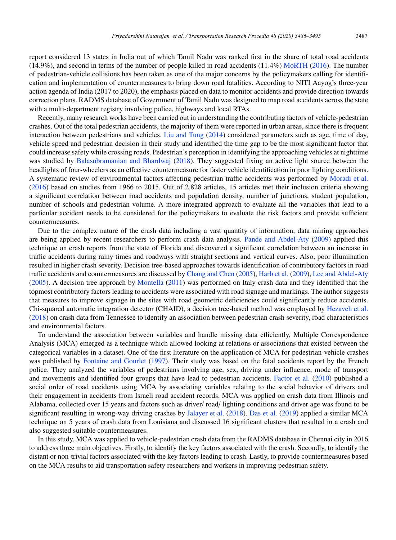report considered 13 states in India out of which Tamil Nadu was ranked first in the share of total road accidents  $(14.9\%)$ , and second in terms of the number of people killed in road accidents  $(11.4\%)$  MoRTH (2016). The number of pedestrian-vehicle collisions has been taken as one of the major concerns by the policymakers calling for identification and implementation of countermeasures to bring down road fatalities. According to NITI Aayog's three-year action agenda of India (2017 to 2020), the emphasis placed on data to monitor accidents and provide direction towards correction plans. RADMS database of Government of Tamil Nadu was designed to map road accidents across the state with a multi-department registry involving police, highways and local RTAs.

Recently, many research works have been carried out in understanding the contributing factors of vehicle-pedestrian crashes. Out of the total pedestrian accidents, the majority of them were reported in urban areas, since there is frequent interaction between pedestrians and vehicles. Liu and Tung (2014) considered parameters such as age, time of day, vehicle speed and pedestrian decision in their study and identified the time gap to be the most significant factor that could increase safety while crossing roads. Pedestrian's perception in identifying the approaching vehicles at nighttime was studied by Balasubramanian and Bhardwaj (2018). They suggested fixing an active light source between the headlights of four-wheelers as an effective countermeasure for faster vehicle identification in poor lighting conditions. A systematic review of environmental factors affecting pedestrian traffic accidents was performed by Moradi et al. (2016) based on studies from 1966 to 2015. Out of 2,828 articles, 15 articles met their inclusion criteria showing a significant correlation between road accidents and population density, number of junctions, student population, number of schools and pedestrian volume. A more integrated approach to evaluate all the variables that lead to a particular accident needs to be considered for the policymakers to evaluate the risk factors and provide sufficient countermeasures.

Due to the complex nature of the crash data including a vast quantity of information, data mining approaches are being applied by recent researchers to perform crash data analysis. Pande and Abdel-Aty (2009) applied this technique on crash reports from the state of Florida and discovered a significant correlation between an increase in traffic accidents during rainy times and roadways with straight sections and vertical curves. Also, poor illumination resulted in higher crash severity. Decision tree-based approaches towards identification of contributory factors in road traffic accidents and countermeasures are discussed by Chang and Chen (2005), Harb et al. (2009), Lee and Abdel-Aty (2005). A decision tree approach by Montella (2011) was performed on Italy crash data and they identified that the topmost contributory factors leading to accidents were associated with road signage and markings. The author suggests that measures to improve signage in the sites with road geometric deficiencies could significantly reduce accidents. Chi-squared automatic integration detector (CHAID), a decision tree-based method was employed by Hezaveh et al. (2018) on crash data from Tennessee to identify an association between pedestrian crash severity, road characteristics and environmental factors.

To understand the association between variables and handle missing data efficiently, Multiple Correspondence Analysis (MCA) emerged as a technique which allowed looking at relations or associations that existed between the categorical variables in a dataset. One of the first literature on the application of MCA for pedestrian-vehicle crashes was published by Fontaine and Gourlet (1997). Their study was based on the fatal accidents report by the French police. They analyzed the variables of pedestrians involving age, sex, driving under influence, mode of transport and movements and identified four groups that have lead to pedestrian accidents. Factor et al. (2010) published a social order of road accidents using MCA by associating variables relating to the social behavior of drivers and their engagement in accidents from Israeli road accident records. MCA was applied on crash data from Illinois and Alabama, collected over 15 years and factors such as driver/ road/ lighting conditions and driver age was found to be significant resulting in wrong-way driving crashes by Jalayer et al. (2018). Das et al. (2019) applied a similar MCA technique on 5 years of crash data from Louisiana and discussed 16 significant clusters that resulted in a crash and also suggested suitable countermeasures.

In this study, MCA was applied to vehicle-pedestrian crash data from the RADMS database in Chennai city in 2016 to address three main objectives. Firstly, to identify the key factors associated with the crash. Secondly, to identify the distant or non-trivial factors associated with the key factors leading to crash. Lastly, to provide countermeasures based on the MCA results to aid transportation safety researchers and workers in improving pedestrian safety.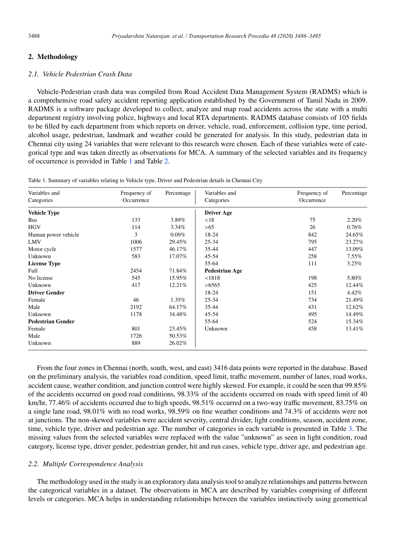#### 2. Methodology

#### *2.1. Vehicle Pedestrian Crash Data*

Vehicle-Pedestrian crash data was compiled from Road Accident Data Management System (RADMS) which is a comprehensive road safety accident reporting application established by the Government of Tamil Nadu in 2009. RADMS is a software package developed to collect, analyze and map road accidents across the state with a multi department registry involving police, highways and local RTA departments. RADMS database consists of 105 fields to be filled by each department from which reports on driver, vehicle, road, enforcement, collision type, time period, alcohol usage, pedestrian, landmark and weather could be generated for analysis. In this study, pedestrian data in Chennai city using 24 variables that were relevant to this research were chosen. Each of these variables were of categorical type and was taken directly as observations for MCA. A summary of the selected variables and its frequency of occurrence is provided in Table 1 and Table 2.

| Variables and            | Frequency of | Percentage | Variables and         | Frequency of | Percentage |
|--------------------------|--------------|------------|-----------------------|--------------|------------|
| Categories               | Occurrence   |            | Categories            | Occurrence   |            |
| <b>Vehicle Type</b>      |              |            | <b>Driver Age</b>     |              |            |
| Bus                      | 133          | 3.89%      | < 18                  | 75           | 2.20%      |
| <b>HGV</b>               | 114          | $3.34\%$   | >65                   | 26           | 0.76%      |
| Human power vehicle      | 3            | 0.09%      | 18-24                 | 842          | 24.65%     |
| LMV                      | 1006         | 29.45%     | $25 - 34$             | 795          | 23.27%     |
| Motor cycle              | 1577         | 46.17%     | 35-44                 | 447          | 13.09%     |
| Unknown                  | 583          | 17.07%     | 45-54                 | 258          | $7.55\%$   |
| <b>License Type</b>      |              |            | 55-64                 | 111          | 3.25%      |
| Full                     | 2454         | 71.84%     | <b>Pedestrian Age</b> |              |            |
| No license               | 545          | 15.95%     | < 1818                | 198          | 5.80%      |
| Unknown                  | 417          | 12.21%     | >6565                 | 425          | 12.44%     |
| <b>Driver Gender</b>     |              |            | 18-24                 | 151          | 4.42%      |
| Female                   | 46           | 1.35%      | $25 - 34$             | 734          | 21.49%     |
| Male                     | 2192         | 64.17%     | 35-44                 | 431          | 12.62%     |
| Unknown                  | 1178         | 34.48%     | 45-54                 | 495          | 14.49%     |
| <b>Pedestrian Gender</b> |              |            | 55-64                 | 524          | 15.34%     |
| Female                   | 801          | 23.45%     | Unknown               | 458          | 13.41%     |
| Male                     | 1726         | 50.53%     |                       |              |            |
| Unknown                  | 889          | 26.02%     |                       |              |            |

Table 1. Summary of variables relating to Vehicle type, Driver and Pedestrian details in Chennai City

From the four zones in Chennai (north, south, west, and east) 3416 data points were reported in the database. Based on the preliminary analysis, the variables road condition, speed limit, traffic movement, number of lanes, road works, accident cause, weather condition, and junction control were highly skewed. For example, it could be seen that 99.85% of the accidents occurred on good road conditions, 98.33% of the accidents occurred on roads with speed limit of 40 km/hr, 77.46% of accidents occurred due to high speeds, 98.51% occurred on a two-way traffic movement, 83.75% on a single lane road, 98.01% with no road works, 98.59% on fine weather conditions and 74.3% of accidents were not at junctions. The non-skewed variables were accident severity, central divider, light conditions, season, accident zone, time, vehicle type, driver and pedestrian age. The number of categories in each variable is presented in Table 3. The missing values from the selected variables were replaced with the value "unknown" as seen in light condition, road category, license type, driver gender, pedestrian gender, hit and run cases, vehicle type, driver age, and pedestrian age.

#### *2.2. Multiple Correspondence Analysis*

The methodology used in the study is an exploratory data analysis tool to analyze relationships and patterns between the categorical variables in a dataset. The observations in MCA are described by variables comprising of different levels or categories. MCA helps in understanding relationships between the variables instinctively using geometrical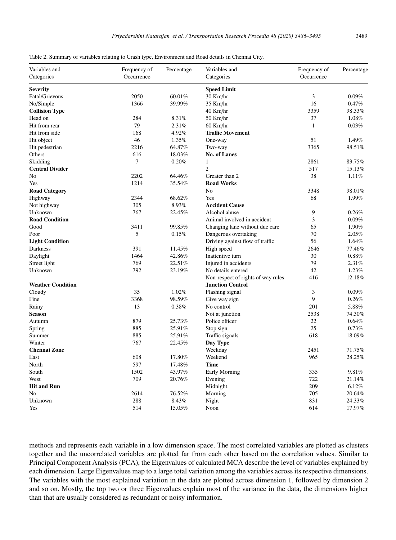|  | :489 |
|--|------|

| Variables and            | Frequency of | Percentage | Variables and                      | Frequency of | Percentage |
|--------------------------|--------------|------------|------------------------------------|--------------|------------|
| Categories               | Occurrence   |            | Categories                         | Occurrence   |            |
| <b>Severity</b>          |              |            | <b>Speed Limit</b>                 |              |            |
| Fatal/Grievous           | 2050         | 60.01%     | 30 Km/hr                           | 3            | 0.09%      |
| No/Simple                | 1366         | 39.99%     | 35 Km/hr                           | 16           | 0.47%      |
| <b>Collision Type</b>    |              |            | 40 Km/hr                           | 3359         | 98.33%     |
| Head on                  | 284          | 8.31%      | 50 Km/hr                           | 37           | 1.08%      |
| Hit from rear            | 79           | 2.31%      | 60 Km/hr                           | $\mathbf{1}$ | 0.03%      |
| Hit from side            | 168          | 4.92%      | <b>Traffic Movement</b>            |              |            |
| Hit object               | $46\,$       | 1.35%      | One-way                            | 51           | 1.49%      |
| Hit pedestrian           | 2216         | 64.87%     | Two-way                            | 3365         | 98.51%     |
| Others                   | 616          | 18.03%     | <b>No. of Lanes</b>                |              |            |
| Skidding                 | 7            | 0.20%      | $\mathbf{1}$                       | 2861         | 83.75%     |
| <b>Central Divider</b>   |              |            | $\overline{c}$                     | 517          | 15.13%     |
| No                       | 2202         | 64.46%     | Greater than 2                     | 38           | 1.11%      |
| Yes                      | 1214         | 35.54%     | <b>Road Works</b>                  |              |            |
| <b>Road Category</b>     |              |            | N <sub>0</sub>                     | 3348         | 98.01%     |
| Highway                  | 2344         | 68.62%     | Yes                                | 68           | 1.99%      |
| Not highway              | 305          | 8.93%      | <b>Accident Cause</b>              |              |            |
| Unknown                  | 767          | 22.45%     | Alcohol abuse                      | 9            | 0.26%      |
| <b>Road Condition</b>    |              |            | Animal involved in accident        | 3            | 0.09%      |
| Good                     | 3411         | 99.85%     | Changing lane without due care     | 65           | 1.90%      |
| Poor                     | 5            | 0.15%      | Dangerous overtaking               | 70           | 2.05%      |
| <b>Light Condition</b>   |              |            | Driving against flow of traffic    | 56           | 1.64%      |
| Darkness                 | 391          | 11.45%     | High speed                         | 2646         | 77.46%     |
| Daylight                 | 1464         | 42.86%     | Inattentive turn                   | 30           | 0.88%      |
| Street light             | 769          | 22.51%     | Injured in accidents               | 79           | 2.31%      |
| Unknown                  | 792          | 23.19%     | No details entered                 | 42           | 1.23%      |
|                          |              |            | Non-respect of rights of way rules | 416          | 12.18%     |
| <b>Weather Condition</b> |              |            | <b>Junction Control</b>            |              |            |
| Cloudy                   | 35           | 1.02%      | Flashing signal                    | 3            | 0.09%      |
| Fine                     | 3368         | 98.59%     | Give way sign                      | 9            | 0.26%      |
| Rainy                    | 13           | 0.38%      | No control                         | 201          | 5.88%      |
| <b>Season</b>            |              |            | Not at junction                    | 2538         | 74.30%     |
| Autumn                   | 879          | 25.73%     | Police officer                     | 22           | 0.64%      |
| Spring                   | 885          | 25.91%     | Stop sign                          | 25           | 0.73%      |
| Summer                   | 885          | 25.91%     | Traffic signals                    | 618          | 18.09%     |
| Winter                   | 767          | 22.45%     | Day Type                           |              |            |
| <b>Chennai Zone</b>      |              |            | Weekday                            | 2451         | 71.75%     |
| East                     | 608          | 17.80%     | Weekend                            | 965          | 28.25%     |
| North                    | 597          | 17.48%     | Time                               |              |            |
| South                    | 1502         | 43.97%     | Early Morning                      | 335          | 9.81%      |
| West                     | 709          | 20.76%     | Evening                            | 722          | 21.14%     |
| <b>Hit and Run</b>       |              |            | Midnight                           | 209          | 6.12%      |
| N <sub>0</sub>           | 2614         | 76.52%     | Morning                            | 705          | 20.64%     |
| Unknown                  | 288          | 8.43%      | Night                              | 831          | 24.33%     |
| Yes                      | 514          | 15.05%     | Noon                               | 614          | 17.97%     |
|                          |              |            |                                    |              |            |

Table 2. Summary of variables relating to Crash type, Environment and Road details in Chennai City.

methods and represents each variable in a low dimension space. The most correlated variables are plotted as clusters together and the uncorrelated variables are plotted far from each other based on the correlation values. Similar to Principal Component Analysis (PCA), the Eigenvalues of calculated MCA describe the level of variables explained by each dimension. Large Eigenvalues map to a large total variation among the variables across its respective dimensions. The variables with the most explained variation in the data are plotted across dimension 1, followed by dimension 2 and so on. Mostly, the top two or three Eigenvalues explain most of the variance in the data, the dimensions higher than that are usually considered as redundant or noisy information.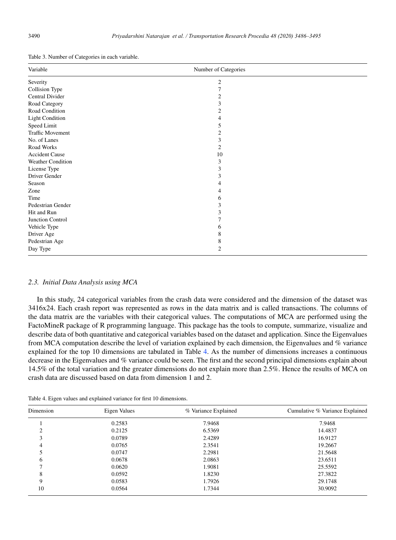Table 3. Number of Categories in each variable.

| Variable                | Number of Categories |  |
|-------------------------|----------------------|--|
| Severity                | $\mathfrak{2}$       |  |
| Collision Type          | 7                    |  |
| Central Divider         | $\boldsymbol{2}$     |  |
| Road Category           | 3                    |  |
| Road Condition          | 2                    |  |
| <b>Light Condition</b>  | 4                    |  |
| Speed Limit             | 5                    |  |
| <b>Traffic Movement</b> | $\mathfrak{2}$       |  |
| No. of Lanes            | 3                    |  |
| Road Works              | $\mathfrak{2}$       |  |
| <b>Accident Cause</b>   | 10                   |  |
| Weather Condition       | 3                    |  |
| License Type            | 3                    |  |
| Driver Gender           | 3                    |  |
| Season                  | 4                    |  |
| Zone                    | 4                    |  |
| Time                    | 6                    |  |
| Pedestrian Gender       | 3                    |  |
| Hit and Run             | 3                    |  |
| Junction Control        |                      |  |
| Vehicle Type            | 6                    |  |
| Driver Age              | 8                    |  |
| Pedestrian Age          | 8                    |  |
| Day Type                | $\overline{2}$       |  |

#### *2.3. Initial Data Analysis using MCA*

In this study, 24 categorical variables from the crash data were considered and the dimension of the dataset was 3416x24. Each crash report was represented as rows in the data matrix and is called transactions. The columns of the data matrix are the variables with their categorical values. The computations of MCA are performed using the FactoMineR package of R programming language. This package has the tools to compute, summarize, visualize and describe data of both quantitative and categorical variables based on the dataset and application. Since the Eigenvalues from MCA computation describe the level of variation explained by each dimension, the Eigenvalues and % variance explained for the top 10 dimensions are tabulated in Table 4. As the number of dimensions increases a continuous decrease in the Eigenvalues and % variance could be seen. The first and the second principal dimensions explain about 14.5% of the total variation and the greater dimensions do not explain more than 2.5%. Hence the results of MCA on crash data are discussed based on data from dimension 1 and 2.

Table 4. Eigen values and explained variance for first 10 dimensions.

| Dimension | Eigen Values | % Variance Explained | Cumulative % Variance Explained |  |
|-----------|--------------|----------------------|---------------------------------|--|
|           | 0.2583       | 7.9468               | 7.9468                          |  |
| ◠         | 0.2125       | 6.5369               | 14.4837                         |  |
| 3         | 0.0789       | 2.4289               | 16.9127                         |  |
| 4         | 0.0765       | 2.3541               | 19.2667                         |  |
|           | 0.0747       | 2.2981               | 21.5648                         |  |
| 6         | 0.0678       | 2.0863               | 23.6511                         |  |
|           | 0.0620       | 1.9081               | 25.5592                         |  |
| 8         | 0.0592       | 1.8230               | 27.3822                         |  |
| 9         | 0.0583       | 1.7926               | 29.1748                         |  |
| 10        | 0.0564       | 1.7344               | 30.9092                         |  |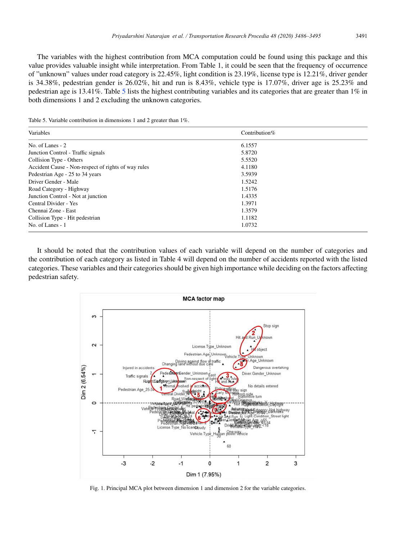The variables with the highest contribution from MCA computation could be found using this package and this value provides valuable insight while interpretation. From Table 1, it could be seen that the frequency of occurrence of "unknown" values under road category is 22.45%, light condition is 23.19%, license type is 12.21%, driver gender is 34.38%, pedestrian gender is 26.02%, hit and run is 8.43%, vehicle type is 17.07%, driver age is 25.23% and pedestrian age is 13.41%. Table 5 lists the highest contributing variables and its categories that are greater than 1% in both dimensions 1 and 2 excluding the unknown categories.

Table 5. Variable contribution in dimensions 1 and 2 greater than 1%.

| Variables                                           | Contribution $%$ |
|-----------------------------------------------------|------------------|
| No. of Lanes $-2$                                   | 6.1557           |
| Junction Control - Traffic signals                  | 5.8720           |
| Collision Type - Others                             | 5.5520           |
| Accident Cause - Non-respect of rights of way rules | 4.1180           |
| Pedestrian Age - 25 to 34 years                     | 3.5939           |
| Driver Gender - Male                                | 1.5242           |
| Road Category - Highway                             | 1.5176           |
| Junction Control - Not at junction                  | 1.4335           |
| Central Divider - Yes                               | 1.3971           |
| Chennai Zone - East                                 | 1.3579           |
| Collision Type - Hit pedestrian                     | 1.1182           |
| No. of Lanes - 1                                    | 1.0732           |

It should be noted that the contribution values of each variable will depend on the number of categories and the contribution of each category as listed in Table 4 will depend on the number of accidents reported with the listed categories. These variables and their categories should be given high importance while deciding on the factors affecting pedestrian safety.



Fig. 1. Principal MCA plot between dimension 1 and dimension 2 for the variable categories.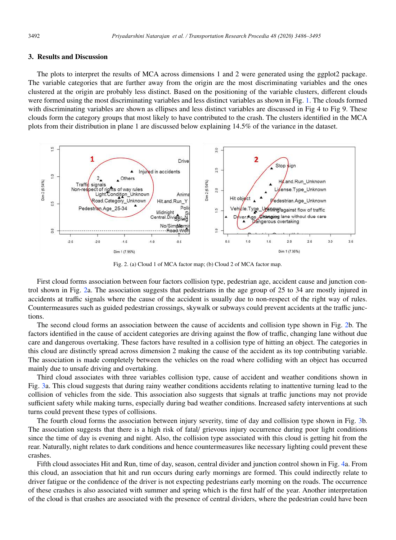#### 3. Results and Discussion

The plots to interpret the results of MCA across dimensions 1 and 2 were generated using the ggplot2 package. The variable categories that are further away from the origin are the most discriminating variables and the ones clustered at the origin are probably less distinct. Based on the positioning of the variable clusters, different clouds were formed using the most discriminating variables and less distinct variables as shown in Fig. 1. The clouds formed with discriminating variables are shown as ellipses and less distinct variables are discussed in Fig 4 to Fig 9. These clouds form the category groups that most likely to have contributed to the crash. The clusters identified in the MCA plots from their distribution in plane 1 are discussed below explaining 14.5% of the variance in the dataset.



Fig. 2. (a) Cloud 1 of MCA factor map; (b) Cloud 2 of MCA factor map.

First cloud forms association between four factors collision type, pedestrian age, accident cause and junction control shown in Fig. 2a. The association suggests that pedestrians in the age group of 25 to 34 are mostly injured in accidents at traffic signals where the cause of the accident is usually due to non-respect of the right way of rules. Countermeasures such as guided pedestrian crossings, skywalk or subways could prevent accidents at the traffic junctions.

The second cloud forms an association between the cause of accidents and collision type shown in Fig. 2b. The factors identified in the cause of accident categories are driving against the flow of traffic, changing lane without due care and dangerous overtaking. These factors have resulted in a collision type of hitting an object. The categories in this cloud are distinctly spread across dimension 2 making the cause of the accident as its top contributing variable. The association is made completely between the vehicles on the road where colliding with an object has occurred mainly due to unsafe driving and overtaking.

Third cloud associates with three variables collision type, cause of accident and weather conditions shown in Fig. 3a. This cloud suggests that during rainy weather conditions accidents relating to inattentive turning lead to the collision of vehicles from the side. This association also suggests that signals at traffic junctions may not provide sufficient safety while making turns, especially during bad weather conditions. Increased safety interventions at such turns could prevent these types of collisions.

The fourth cloud forms the association between injury severity, time of day and collision type shown in Fig. 3b. The association suggests that there is a high risk of fatal/ grievous injury occurrence during poor light conditions since the time of day is evening and night. Also, the collision type associated with this cloud is getting hit from the rear. Naturally, night relates to dark conditions and hence countermeasures like necessary lighting could prevent these crashes.

Fifth cloud associates Hit and Run, time of day, season, central divider and junction control shown in Fig. 4a. From this cloud, an association that hit and run occurs during early mornings are formed. This could indirectly relate to driver fatigue or the confidence of the driver is not expecting pedestrians early morning on the roads. The occurrence of these crashes is also associated with summer and spring which is the first half of the year. Another interpretation of the cloud is that crashes are associated with the presence of central dividers, where the pedestrian could have been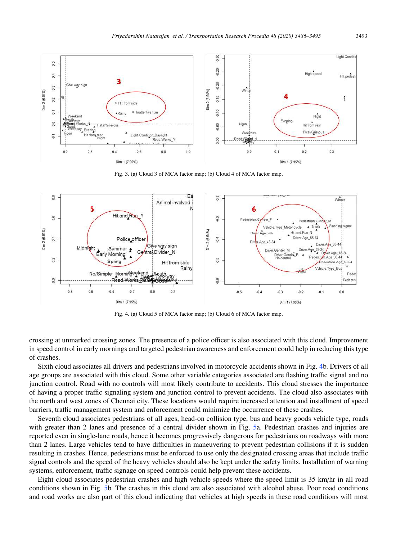

Fig. 3. (a) Cloud 3 of MCA factor map; (b) Cloud 4 of MCA factor map.



Fig. 4. (a) Cloud 5 of MCA factor map; (b) Cloud 6 of MCA factor map.

crossing at unmarked crossing zones. The presence of a police officer is also associated with this cloud. Improvement in speed control in early mornings and targeted pedestrian awareness and enforcement could help in reducing this type of crashes.

Sixth cloud associates all drivers and pedestrians involved in motorcycle accidents shown in Fig. 4b. Drivers of all age groups are associated with this cloud. Some other variable categories associated are flashing traffic signal and no junction control. Road with no controls will most likely contribute to accidents. This cloud stresses the importance of having a proper traffic signaling system and junction control to prevent accidents. The cloud also associates with the north and west zones of Chennai city. These locations would require increased attention and installment of speed barriers, traffic management system and enforcement could minimize the occurrence of these crashes.

Seventh cloud associates pedestrians of all ages, head-on collision type, bus and heavy goods vehicle type, roads with greater than 2 lanes and presence of a central divider shown in Fig. 5a. Pedestrian crashes and injuries are reported even in single-lane roads, hence it becomes progressively dangerous for pedestrians on roadways with more than 2 lanes. Large vehicles tend to have difficulties in maneuvering to prevent pedestrian collisions if it is sudden resulting in crashes. Hence, pedestrians must be enforced to use only the designated crossing areas that include traffic signal controls and the speed of the heavy vehicles should also be kept under the safety limits. Installation of warning systems, enforcement, traffic signage on speed controls could help prevent these accidents.

Eight cloud associates pedestrian crashes and high vehicle speeds where the speed limit is 35 km/hr in all road conditions shown in Fig. 5b. The crashes in this cloud are also associated with alcohol abuse. Poor road conditions and road works are also part of this cloud indicating that vehicles at high speeds in these road conditions will most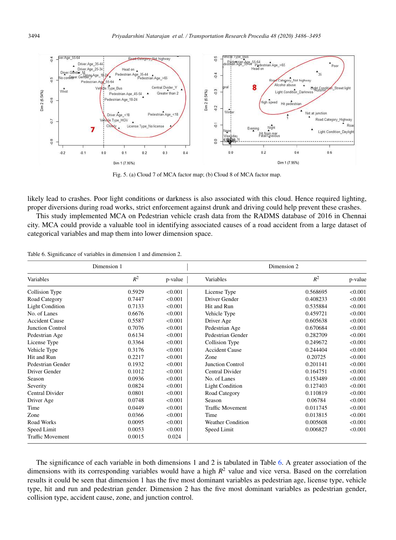

Fig. 5. (a) Cloud 7 of MCA factor map; (b) Cloud 8 of MCA factor map.

likely lead to crashes. Poor light conditions or darkness is also associated with this cloud. Hence required lighting, proper diversions during road works, strict enforcement against drunk and driving could help prevent these crashes.

This study implemented MCA on Pedestrian vehicle crash data from the RADMS database of 2016 in Chennai city. MCA could provide a valuable tool in identifying associated causes of a road accident from a large dataset of categorical variables and map them into lower dimension space.

| Dimension 1             |        | Dimension 2 |                          |          |         |
|-------------------------|--------|-------------|--------------------------|----------|---------|
| Variables               | $R^2$  | p-value     | Variables                | $R^2$    | p-value |
| Collision Type          | 0.5929 | < 0.001     | License Type             | 0.568695 | < 0.001 |
| Road Category           | 0.7447 | < 0.001     | Driver Gender            | 0.408233 | < 0.001 |
| <b>Light Condition</b>  | 0.7133 | < 0.001     | Hit and Run              | 0.535884 | < 0.001 |
| No. of Lanes            | 0.6676 | < 0.001     | Vehicle Type             | 0.459721 | < 0.001 |
| <b>Accident Cause</b>   | 0.5587 | < 0.001     | Driver Age               | 0.605638 | < 0.001 |
| Junction Control        | 0.7076 | < 0.001     | Pedestrian Age           | 0.670684 | < 0.001 |
| Pedestrian Age          | 0.6134 | < 0.001     | Pedestrian Gender        | 0.282709 | < 0.001 |
| License Type            | 0.3364 | < 0.001     | Collision Type           | 0.249672 | < 0.001 |
| Vehicle Type            | 0.3176 | < 0.001     | <b>Accident Cause</b>    | 0.244404 | < 0.001 |
| Hit and Run             | 0.2217 | < 0.001     | Zone                     | 0.20725  | < 0.001 |
| Pedestrian Gender       | 0.1932 | < 0.001     | <b>Junction Control</b>  | 0.201141 | < 0.001 |
| Driver Gender           | 0.1012 | < 0.001     | <b>Central Divider</b>   | 0.164751 | < 0.001 |
| Season                  | 0.0936 | < 0.001     | No. of Lanes             | 0.153489 | < 0.001 |
| Severity                | 0.0824 | < 0.001     | <b>Light Condition</b>   | 0.127403 | < 0.001 |
| Central Divider         | 0.0801 | < 0.001     | Road Category            | 0.110819 | < 0.001 |
| Driver Age              | 0.0748 | < 0.001     | Season                   | 0.06784  | < 0.001 |
| Time                    | 0.0449 | < 0.001     | <b>Traffic Movement</b>  | 0.011745 | < 0.001 |
| Zone                    | 0.0366 | < 0.001     | Time                     | 0.013815 | < 0.001 |
| Road Works              | 0.0095 | < 0.001     | <b>Weather Condition</b> | 0.005608 | < 0.001 |
| Speed Limit             | 0.0053 | < 0.001     | Speed Limit              | 0.006827 | < 0.001 |
| <b>Traffic Movement</b> | 0.0015 | 0.024       |                          |          |         |

Table 6. Significance of variables in dimension 1 and dimension 2.

The significance of each variable in both dimensions 1 and 2 is tabulated in Table 6. A greater association of the dimensions with its corresponding variables would have a high *R* <sup>2</sup> value and vice versa. Based on the correlation results it could be seen that dimension 1 has the five most dominant variables as pedestrian age, license type, vehicle type, hit and run and pedestrian gender. Dimension 2 has the five most dominant variables as pedestrian gender, collision type, accident cause, zone, and junction control.